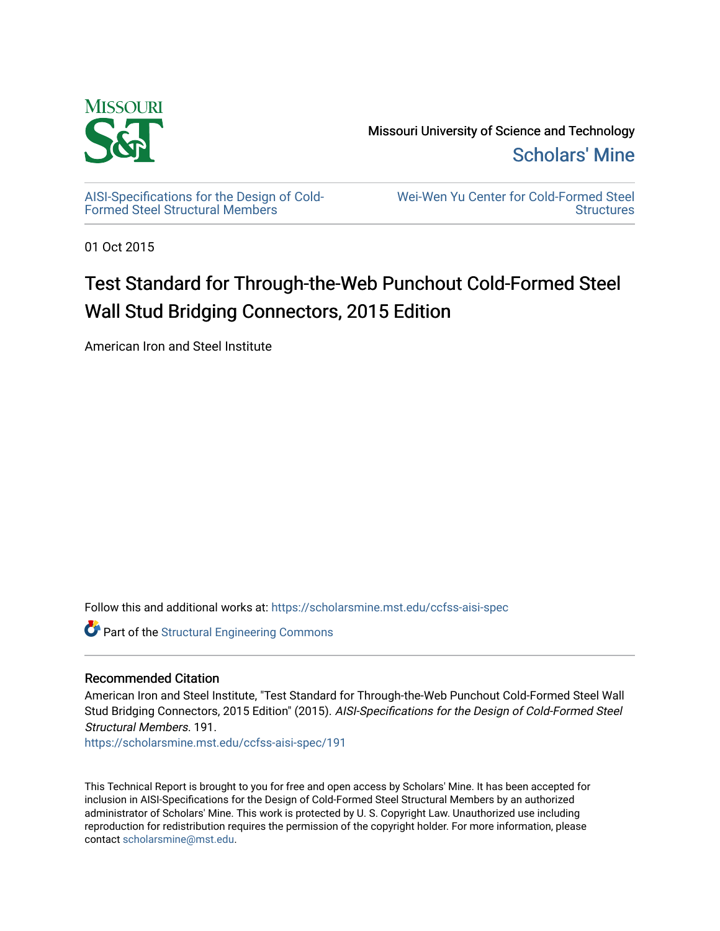

[AISI-Specifications for the Design of Cold-](https://scholarsmine.mst.edu/ccfss-aisi-spec)[Formed Steel Structural Members](https://scholarsmine.mst.edu/ccfss-aisi-spec)

[Wei-Wen Yu Center for Cold-Formed Steel](https://scholarsmine.mst.edu/ccfss)  **Structures** 

01 Oct 2015

# Test Standard for Through-the-Web Punchout Cold-Formed Steel Wall Stud Bridging Connectors, 2015 Edition

American Iron and Steel Institute

Follow this and additional works at: [https://scholarsmine.mst.edu/ccfss-aisi-spec](https://scholarsmine.mst.edu/ccfss-aisi-spec?utm_source=scholarsmine.mst.edu%2Fccfss-aisi-spec%2F191&utm_medium=PDF&utm_campaign=PDFCoverPages) 

**Part of the Structural Engineering Commons** 

# Recommended Citation

American Iron and Steel Institute, "Test Standard for Through-the-Web Punchout Cold-Formed Steel Wall Stud Bridging Connectors, 2015 Edition" (2015). AISI-Specifications for the Design of Cold-Formed Steel Structural Members. 191.

[https://scholarsmine.mst.edu/ccfss-aisi-spec/191](https://scholarsmine.mst.edu/ccfss-aisi-spec/191?utm_source=scholarsmine.mst.edu%2Fccfss-aisi-spec%2F191&utm_medium=PDF&utm_campaign=PDFCoverPages) 

This Technical Report is brought to you for free and open access by Scholars' Mine. It has been accepted for inclusion in AISI-Specifications for the Design of Cold-Formed Steel Structural Members by an authorized administrator of Scholars' Mine. This work is protected by U. S. Copyright Law. Unauthorized use including reproduction for redistribution requires the permission of the copyright holder. For more information, please contact [scholarsmine@mst.edu](mailto:scholarsmine@mst.edu).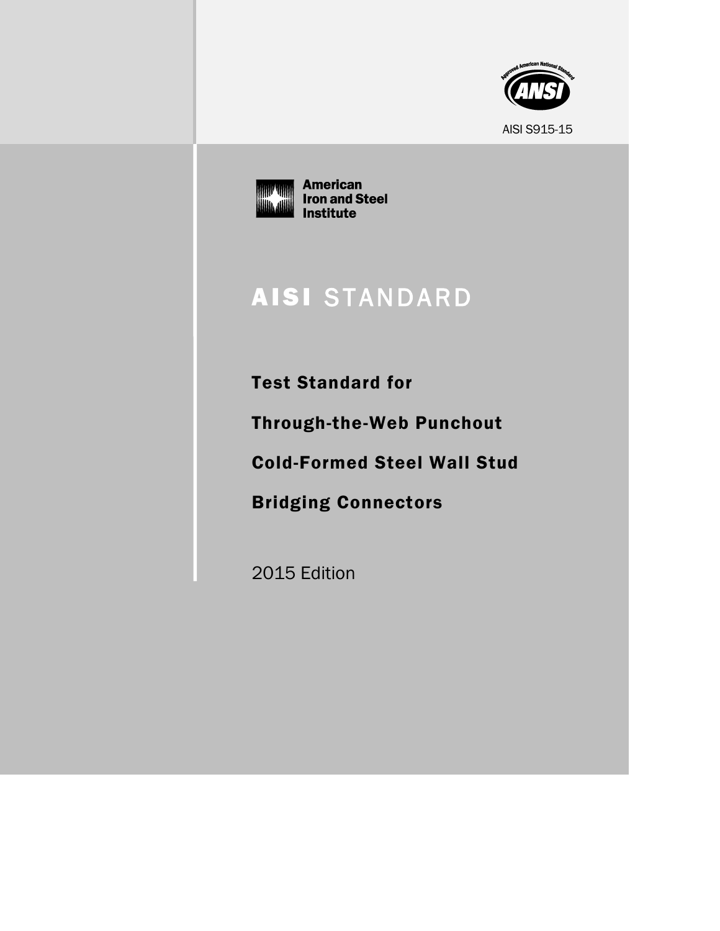



# **AISI STANDARD**

# Test Standard for

Through-the-Web Punchout

Cold-Formed Steel Wall Stud

Bridging Connectors

2015 Edition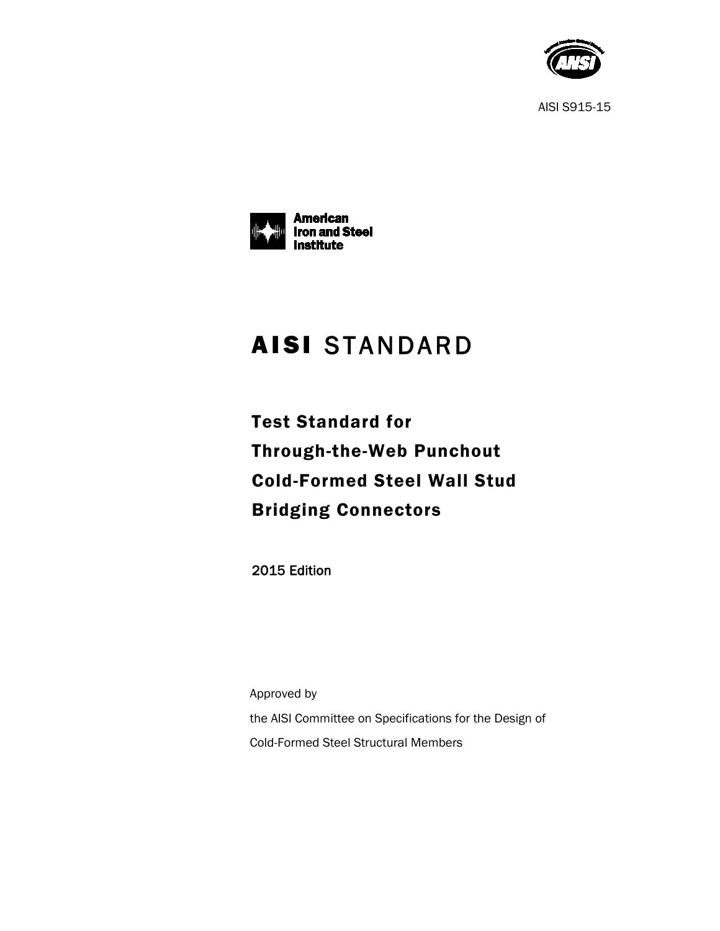

AISI S915-15



# AISI STANDARD

Test Standard for Through-the-Web Punchout Cold-Formed Steel Wall Stud Bridging Connectors

2015 Edition

Approved by the AISI Committee on Specifications for the Design of Cold-Formed Steel Structural Members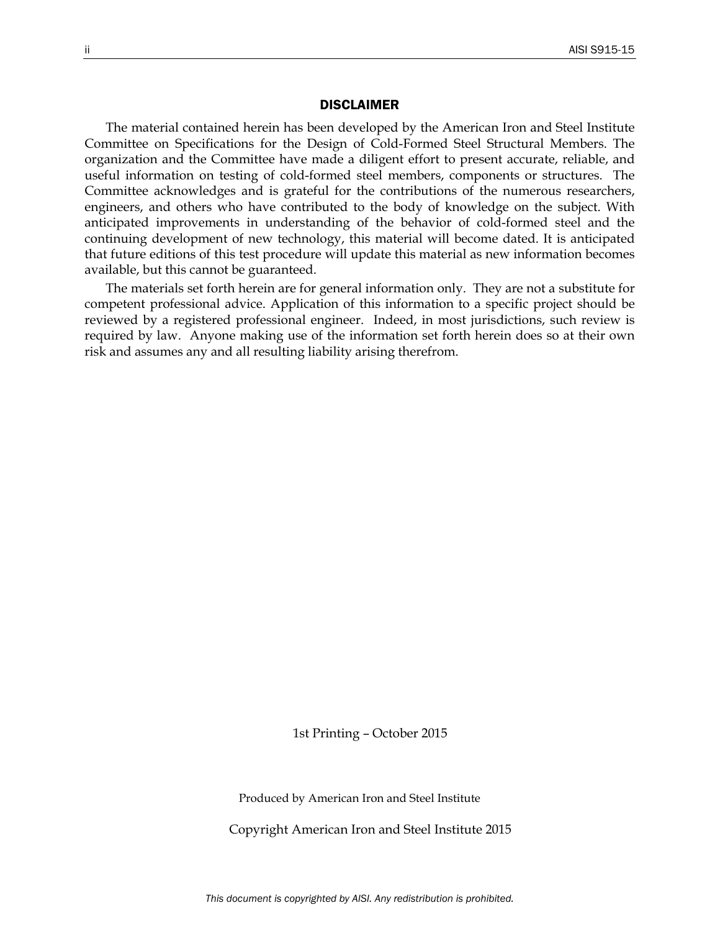### DISCLAIMER

The material contained herein has been developed by the American Iron and Steel Institute Committee on Specifications for the Design of Cold-Formed Steel Structural Members. The organization and the Committee have made a diligent effort to present accurate, reliable, and useful information on testing of cold-formed steel members, components or structures. The Committee acknowledges and is grateful for the contributions of the numerous researchers, engineers, and others who have contributed to the body of knowledge on the subject. With anticipated improvements in understanding of the behavior of cold-formed steel and the continuing development of new technology, this material will become dated. It is anticipated that future editions of this test procedure will update this material as new information becomes available, but this cannot be guaranteed.

The materials set forth herein are for general information only. They are not a substitute for competent professional advice. Application of this information to a specific project should be reviewed by a registered professional engineer. Indeed, in most jurisdictions, such review is required by law. Anyone making use of the information set forth herein does so at their own risk and assumes any and all resulting liability arising therefrom.

1st Printing – October 2015

Produced by American Iron and Steel Institute

Copyright American Iron and Steel Institute 2015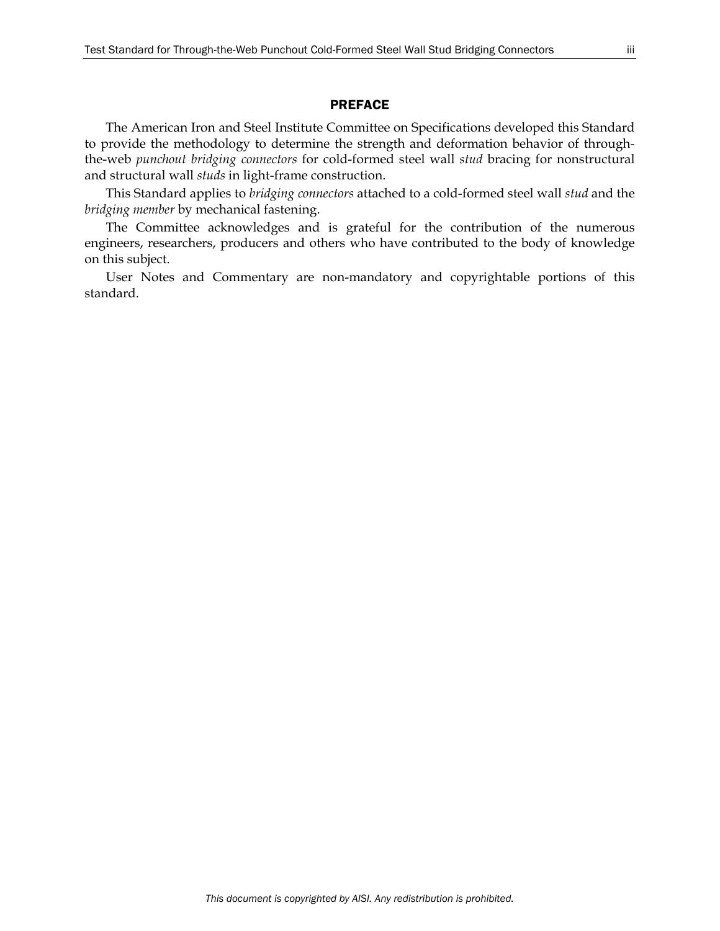#### PREFACE

The American Iron and Steel Institute Committee on Specifications developed this Standard to provide the methodology to determine the strength and deformation behavior of throughthe-web *punchout bridging connectors* for cold-formed steel wall *stud* bracing for nonstructural and structural wall *studs* in light-frame construction.

This Standard applies to *bridging connectors* attached to a cold-formed steel wall *stud* and the *bridging member* by mechanical fastening.

The Committee acknowledges and is grateful for the contribution of the numerous engineers, researchers, producers and others who have contributed to the body of knowledge on this subject.

User Notes and Commentary are non-mandatory and copyrightable portions of this standard.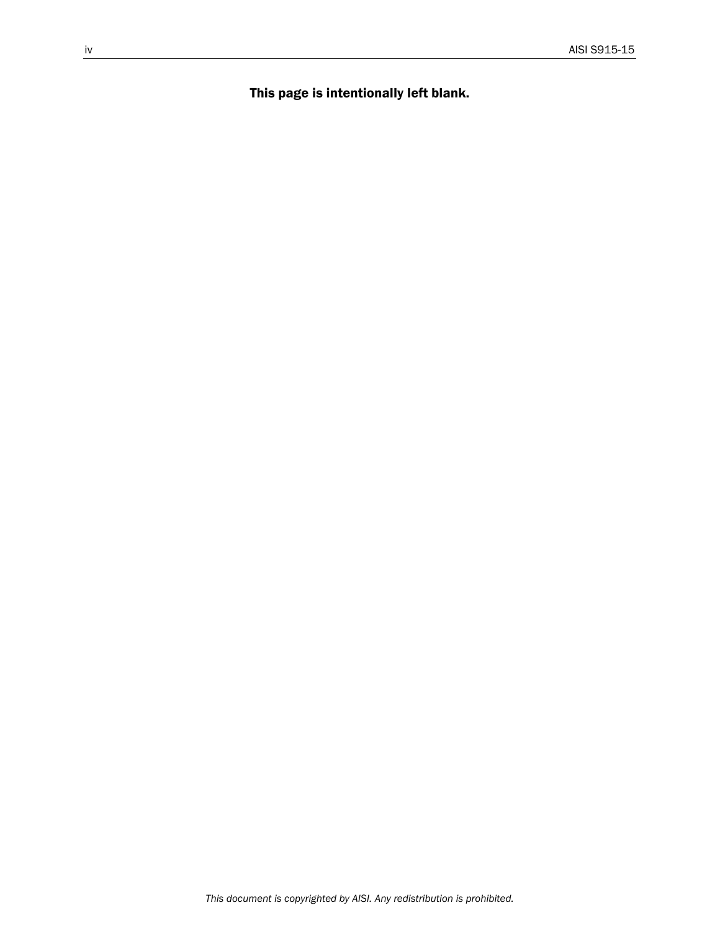This page is intentionally left blank.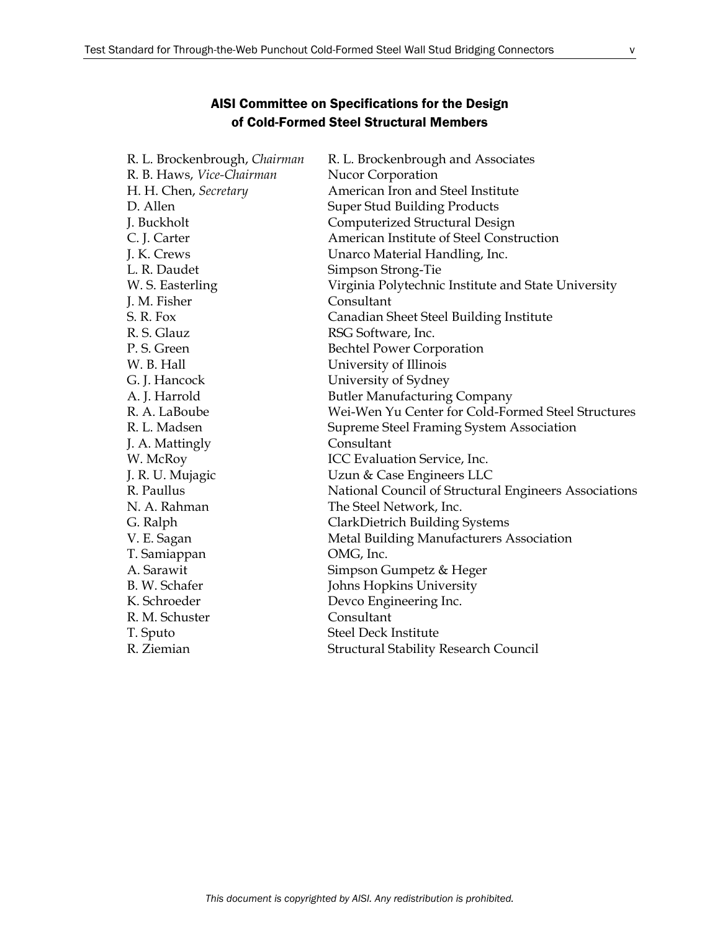# AISI Committee on Specifications for the Design of Cold-Formed Steel Structural Members

| R. L. Brockenbrough, Chairman | R. L. Brockenbrough and Associates                    |
|-------------------------------|-------------------------------------------------------|
| R. B. Haws, Vice-Chairman     | Nucor Corporation                                     |
| H. H. Chen, Secretary         | American Iron and Steel Institute                     |
| D. Allen                      | <b>Super Stud Building Products</b>                   |
| J. Buckholt                   | Computerized Structural Design                        |
| C. J. Carter                  | American Institute of Steel Construction              |
| J. K. Crews                   | Unarco Material Handling, Inc.                        |
| L. R. Daudet                  | Simpson Strong-Tie                                    |
| W. S. Easterling              | Virginia Polytechnic Institute and State University   |
| J. M. Fisher                  | Consultant                                            |
| S. R. Fox                     | Canadian Sheet Steel Building Institute               |
| R. S. Glauz                   | RSG Software, Inc.                                    |
| P. S. Green                   | <b>Bechtel Power Corporation</b>                      |
| W. B. Hall                    | University of Illinois                                |
| G. J. Hancock                 | University of Sydney                                  |
| A. J. Harrold                 | <b>Butler Manufacturing Company</b>                   |
| R. A. LaBoube                 | Wei-Wen Yu Center for Cold-Formed Steel Structures    |
| R. L. Madsen                  | Supreme Steel Framing System Association              |
| J. A. Mattingly               | Consultant                                            |
| W. McRoy                      | ICC Evaluation Service, Inc.                          |
| J. R. U. Mujagic              | Uzun & Case Engineers LLC                             |
| R. Paullus                    | National Council of Structural Engineers Associations |
| N. A. Rahman                  | The Steel Network, Inc.                               |
| G. Ralph                      | <b>ClarkDietrich Building Systems</b>                 |
| V. E. Sagan                   | Metal Building Manufacturers Association              |
| T. Samiappan                  | OMG, Inc.                                             |
| A. Sarawit                    | Simpson Gumpetz & Heger                               |
| B. W. Schafer                 | Johns Hopkins University                              |
| K. Schroeder                  | Devco Engineering Inc.                                |
| R. M. Schuster                | Consultant                                            |
| T. Sputo                      | <b>Steel Deck Institute</b>                           |
| R. Ziemian                    | <b>Structural Stability Research Council</b>          |
|                               |                                                       |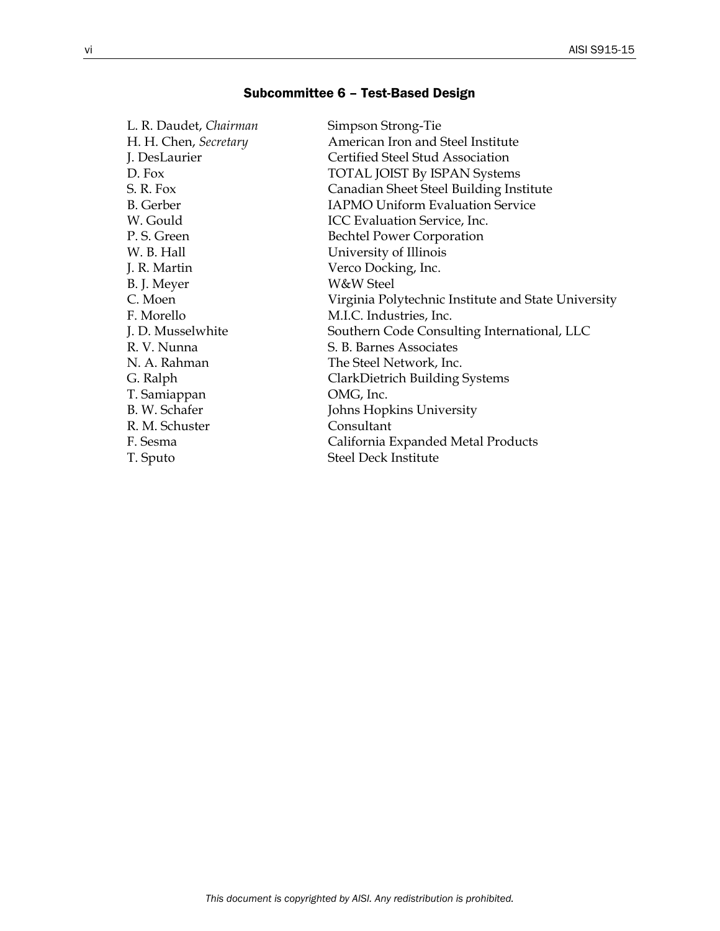# Subcommittee 6 – Test-Based Design

| L. R. Daudet, Chairman | Simpson Strong-Tie                                  |
|------------------------|-----------------------------------------------------|
| H. H. Chen, Secretary  | American Iron and Steel Institute                   |
| J. DesLaurier          | Certified Steel Stud Association                    |
| D. Fox                 | <b>TOTAL JOIST By ISPAN Systems</b>                 |
| S. R. Fox              | Canadian Sheet Steel Building Institute             |
| <b>B.</b> Gerber       | <b>IAPMO Uniform Evaluation Service</b>             |
| W. Gould               | ICC Evaluation Service, Inc.                        |
| P. S. Green            | <b>Bechtel Power Corporation</b>                    |
| W. B. Hall             | University of Illinois                              |
| J. R. Martin           | Verco Docking, Inc.                                 |
| B. J. Meyer            | W&W Steel                                           |
| C. Moen                | Virginia Polytechnic Institute and State University |
| F. Morello             | M.I.C. Industries, Inc.                             |
| J. D. Musselwhite      | Southern Code Consulting International, LLC         |
| R. V. Nunna            | S. B. Barnes Associates                             |
| N. A. Rahman           | The Steel Network, Inc.                             |
| G. Ralph               | <b>ClarkDietrich Building Systems</b>               |
| T. Samiappan           | OMG, Inc.                                           |
| B. W. Schafer          | Johns Hopkins University                            |
| R. M. Schuster         | Consultant                                          |
| F. Sesma               | California Expanded Metal Products                  |
| T. Sputo               | <b>Steel Deck Institute</b>                         |
|                        |                                                     |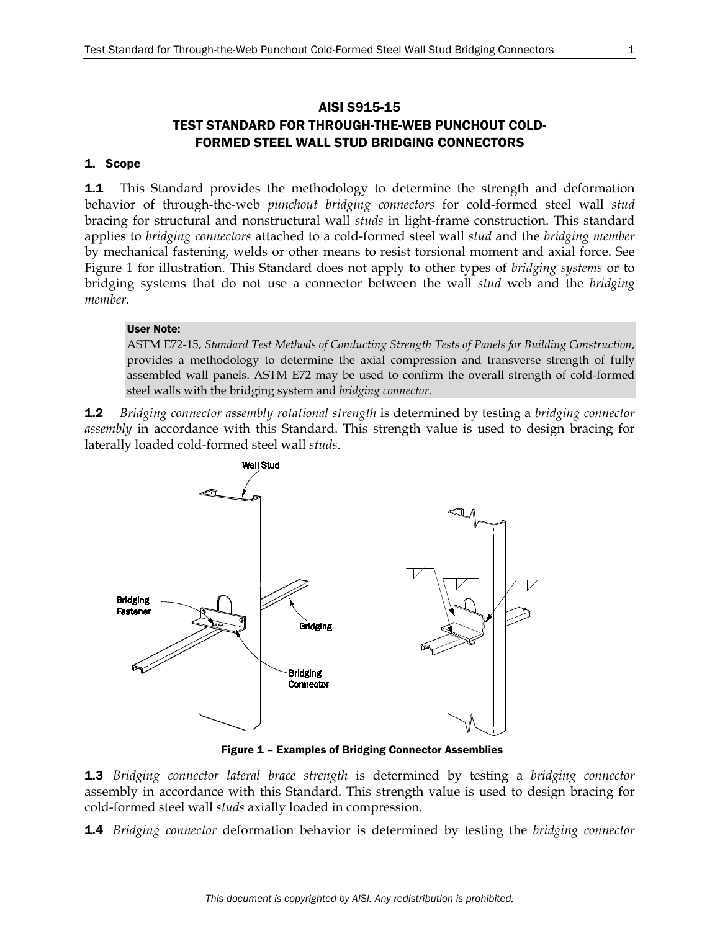# AISI S915-15 TEST STANDARD FOR THROUGH-THE-WEB PUNCHOUT COLD-FORMED STEEL WALL STUD BRIDGING CONNECTORS

# 1. Scope

**1.1** This Standard provides the methodology to determine the strength and deformation behavior of through-the-web *punchout bridging connectors* for cold-formed steel wall *stud* bracing for structural and nonstructural wall *studs* in light-frame construction. This standard applies to *bridging connectors* attached to a cold-formed steel wall *stud* and the *bridging member* by mechanical fastening, welds or other means to resist torsional moment and axial force. See Figure 1 for illustration. This Standard does not apply to other types of *bridging systems* or to bridging systems that do not use a connector between the wall *stud* web and the *bridging member*.

# User Note:

ASTM E72-15, *Standard Test Methods of Conducting Strength Tests of Panels for Building Construction*, provides a methodology to determine the axial compression and transverse strength of fully assembled wall panels. ASTM E72 may be used to confirm the overall strength of cold-formed steel walls with the bridging system and *bridging connector*.

1.2 *Bridging connector assembly rotational strength* is determined by testing a *bridging connector assembly* in accordance with this Standard. This strength value is used to design bracing for laterally loaded cold-formed steel wall *studs*.



Figure 1 – Examples of Bridging Connector Assemblies

1.3 *Bridging connector lateral brace strength* is determined by testing a *bridging connector* assembly in accordance with this Standard. This strength value is used to design bracing for cold-formed steel wall *studs* axially loaded in compression.

1.4 *Bridging connector* deformation behavior is determined by testing the *bridging connector*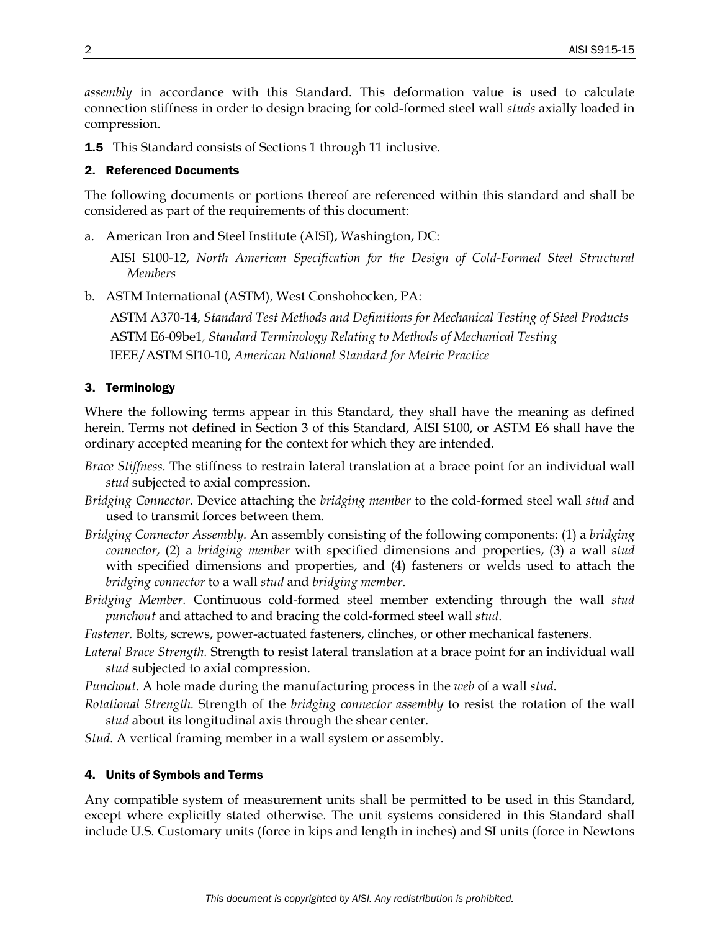*assembly* in accordance with this Standard. This deformation value is used to calculate connection stiffness in order to design bracing for cold-formed steel wall *studs* axially loaded in compression.

**1.5** This Standard consists of Sections 1 through 11 inclusive.

# 2. Referenced Documents

The following documents or portions thereof are referenced within this standard and shall be considered as part of the requirements of this document:

a. American Iron and Steel Institute (AISI), Washington, DC:

AISI S100-12, *North American Specification for the Design of Cold-Formed Steel Structural Members*

b. ASTM International (ASTM), West Conshohocken, PA:

ASTM A370-14, *Standard Test Methods and Definitions for Mechanical Testing of Steel Products* ASTM E6-09be1, *Standard Terminology Relating to Methods of Mechanical Testing* IEEE/ASTM SI10-10, *American National Standard for Metric Practice*

# 3. Terminology

Where the following terms appear in this Standard, they shall have the meaning as defined herein. Terms not defined in Section 3 of this Standard, AISI S100, or ASTM E6 shall have the ordinary accepted meaning for the context for which they are intended.

- *Brace Stiffness.* The stiffness to restrain lateral translation at a brace point for an individual wall *stud* subjected to axial compression.
- *Bridging Connector.* Device attaching the *bridging member* to the cold-formed steel wall *stud* and used to transmit forces between them.
- *Bridging Connector Assembly.* An assembly consisting of the following components: (1) a *bridging connector*, (2) a *bridging member* with specified dimensions and properties, (3) a wall *stud* with specified dimensions and properties, and (4) fasteners or welds used to attach the *bridging connector* to a wall *stud* and *bridging member*.
- *Bridging Member.* Continuous cold-formed steel member extending through the wall *stud punchout* and attached to and bracing the cold-formed steel wall *stud*.

*Fastener.* Bolts, screws, power-actuated fasteners, clinches, or other mechanical fasteners.

- *Lateral Brace Strength.* Strength to resist lateral translation at a brace point for an individual wall *stud* subjected to axial compression.
- *Punchout*. A hole made during the manufacturing process in the *web* of a wall *stud*.
- *Rotational Strength.* Strength of the *bridging connector assembly* to resist the rotation of the wall *stud* about its longitudinal axis through the shear center.
- *Stud*. A vertical framing member in a wall system or assembly.

# 4. Units of Symbols and Terms

Any compatible system of measurement units shall be permitted to be used in this Standard, except where explicitly stated otherwise. The unit systems considered in this Standard shall include U.S. Customary units (force in kips and length in inches) and SI units (force in Newtons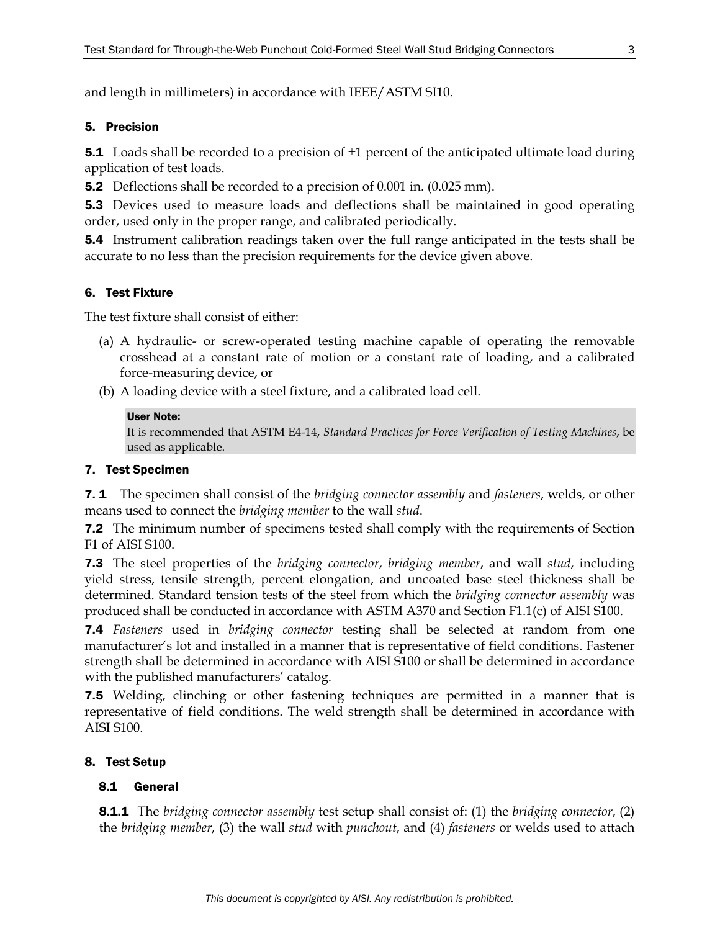and length in millimeters) in accordance with IEEE/ASTM SI10.

# 5. Precision

**5.1** Loads shall be recorded to a precision of  $\pm 1$  percent of the anticipated ultimate load during application of test loads.

**5.2** Deflections shall be recorded to a precision of 0.001 in. (0.025 mm).

5.3 Devices used to measure loads and deflections shall be maintained in good operating order, used only in the proper range, and calibrated periodically.

5.4 Instrument calibration readings taken over the full range anticipated in the tests shall be accurate to no less than the precision requirements for the device given above.

# 6. Test Fixture

The test fixture shall consist of either:

- (a) A hydraulic- or screw-operated testing machine capable of operating the removable crosshead at a constant rate of motion or a constant rate of loading, and a calibrated force-measuring device, or
- (b) A loading device with a steel fixture, and a calibrated load cell.

# User Note:

It is recommended that ASTM E4-14, *Standard Practices for Force Verification of Testing Machines*, be used as applicable.

# 7. Test Specimen

7. 1 The specimen shall consist of the *bridging connector assembly* and *fasteners*, welds, or other means used to connect the *bridging member* to the wall *stud*.

**7.2** The minimum number of specimens tested shall comply with the requirements of Section F1 of AISI S100.

7.3 The steel properties of the *bridging connector*, *bridging member*, and wall *stud*, including yield stress, tensile strength, percent elongation, and uncoated base steel thickness shall be determined. Standard tension tests of the steel from which the *bridging connector assembly* was produced shall be conducted in accordance with ASTM A370 and Section F1.1(c) of AISI S100.

7.4 *Fasteners* used in *bridging connector* testing shall be selected at random from one manufacturer's lot and installed in a manner that is representative of field conditions. Fastener strength shall be determined in accordance with AISI S100 or shall be determined in accordance with the published manufacturers' catalog.

7.5 Welding, clinching or other fastening techniques are permitted in a manner that is representative of field conditions. The weld strength shall be determined in accordance with AISI S100.

# 8. Test Setup

# 8.1 General

8.1.1 The *bridging connector assembly* test setup shall consist of: (1) the *bridging connector*, (2) the *bridging member*, (3) the wall *stud* with *punchout*, and (4) *fasteners* or welds used to attach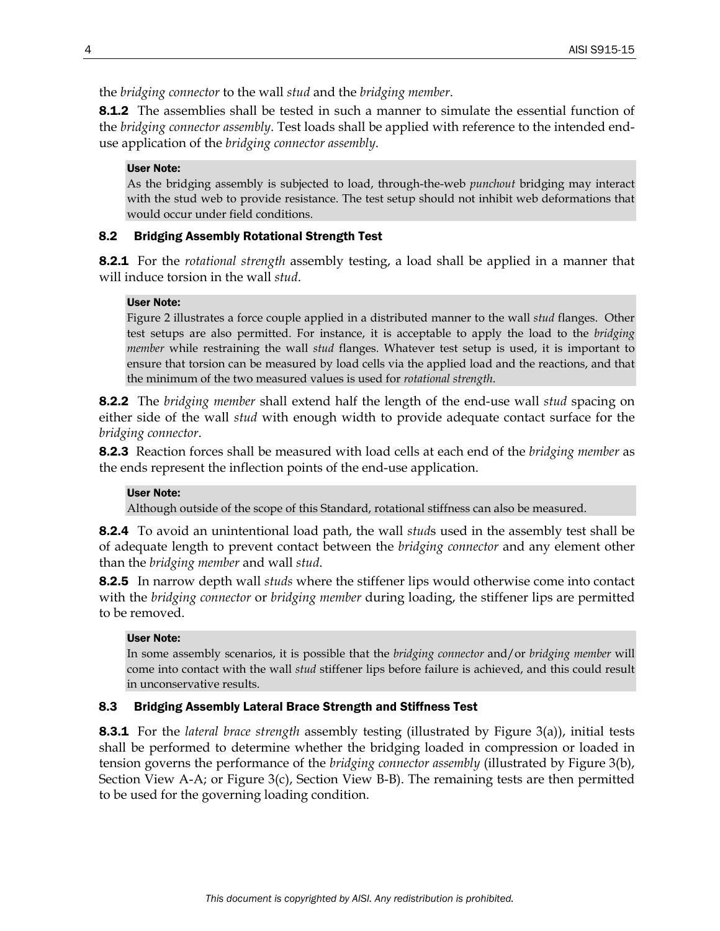the *bridging connector* to the wall *stud* and the *bridging member*.

**8.1.2** The assemblies shall be tested in such a manner to simulate the essential function of the *bridging connector assembly*. Test loads shall be applied with reference to the intended enduse application of the *bridging connector assembly*.

# User Note:

As the bridging assembly is subjected to load, through-the-web *punchout* bridging may interact with the stud web to provide resistance. The test setup should not inhibit web deformations that would occur under field conditions.

#### 8.2 Bridging Assembly Rotational Strength Test

8.2.1 For the *rotational strength* assembly testing, a load shall be applied in a manner that will induce torsion in the wall *stud*.

### User Note:

Figure 2 illustrates a force couple applied in a distributed manner to the wall *stud* flanges. Other test setups are also permitted. For instance, it is acceptable to apply the load to the *bridging member* while restraining the wall *stud* flanges. Whatever test setup is used, it is important to ensure that torsion can be measured by load cells via the applied load and the reactions, and that the minimum of the two measured values is used for *rotational strength*.

8.2.2 The *bridging member* shall extend half the length of the end-use wall *stud* spacing on either side of the wall *stud* with enough width to provide adequate contact surface for the *bridging connector*.

8.2.3 Reaction forces shall be measured with load cells at each end of the *bridging member* as the ends represent the inflection points of the end-use application.

#### User Note:

Although outside of the scope of this Standard, rotational stiffness can also be measured.

8.2.4 To avoid an unintentional load path, the wall *stud*s used in the assembly test shall be of adequate length to prevent contact between the *bridging connector* and any element other than the *bridging member* and wall *stud*.

8.2.5 In narrow depth wall *studs* where the stiffener lips would otherwise come into contact with the *bridging connector* or *bridging member* during loading, the stiffener lips are permitted to be removed.

#### User Note:

In some assembly scenarios, it is possible that the *bridging connector* and/or *bridging member* will come into contact with the wall *stud* stiffener lips before failure is achieved, and this could result in unconservative results.

#### 8.3 Bridging Assembly Lateral Brace Strength and Stiffness Test

8.3.1 For the *lateral brace strength* assembly testing (illustrated by Figure 3(a)), initial tests shall be performed to determine whether the bridging loaded in compression or loaded in tension governs the performance of the *bridging connector assembly* (illustrated by Figure 3(b), Section View A-A; or Figure 3(c), Section View B-B). The remaining tests are then permitted to be used for the governing loading condition.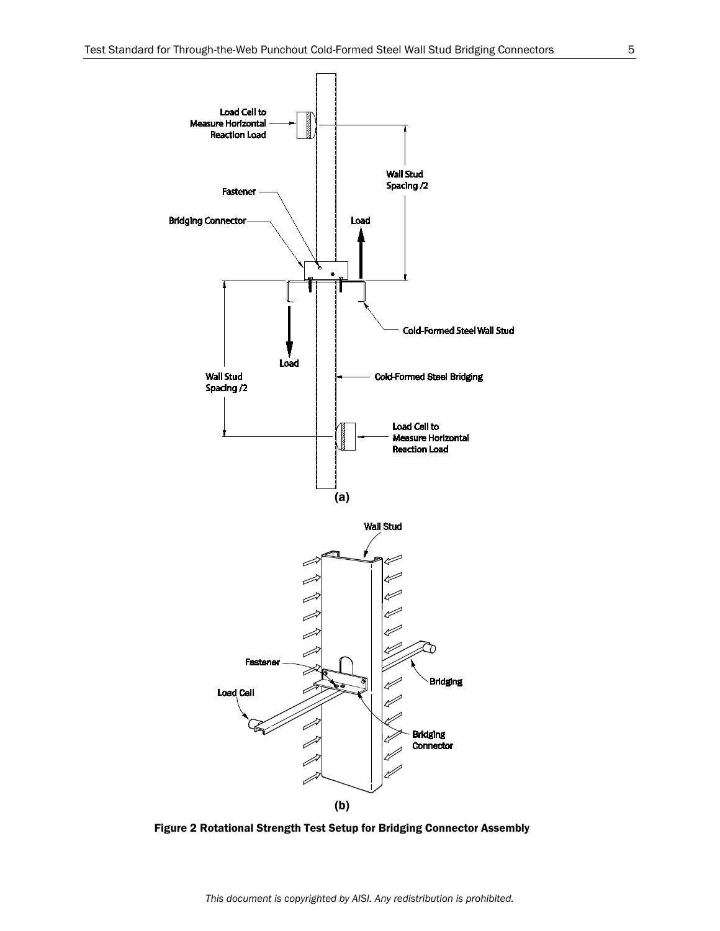

Figure 2 Rotational Strength Test Setup for Bridging Connector Assembly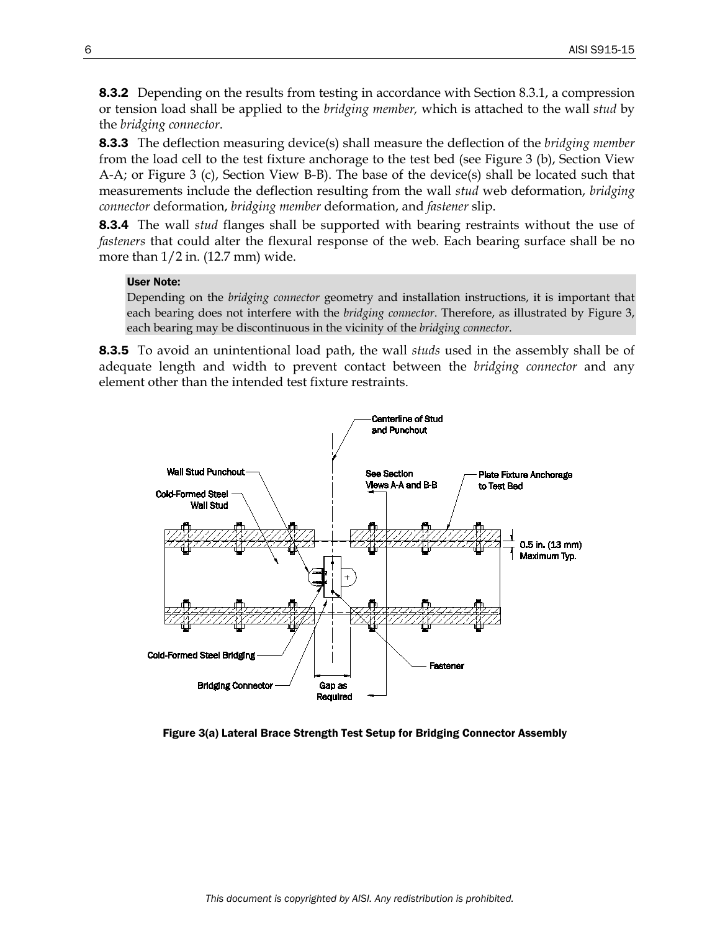**8.3.2** Depending on the results from testing in accordance with Section 8.3.1, a compression or tension load shall be applied to the *bridging member,* which is attached to the wall *stud* by the *bridging connector*.

8.3.3 The deflection measuring device(s) shall measure the deflection of the *bridging member* from the load cell to the test fixture anchorage to the test bed (see Figure 3 (b), Section View A-A; or Figure 3 (c), Section View B-B). The base of the device(s) shall be located such that measurements include the deflection resulting from the wall *stud* web deformation, *bridging connector* deformation, *bridging member* deformation, and *fastener* slip.

8.3.4 The wall *stud* flanges shall be supported with bearing restraints without the use of *fasteners* that could alter the flexural response of the web. Each bearing surface shall be no more than 1/2 in. (12.7 mm) wide.

#### User Note:

Depending on the *bridging connector* geometry and installation instructions, it is important that each bearing does not interfere with the *bridging connector*. Therefore, as illustrated by Figure 3, each bearing may be discontinuous in the vicinity of the *bridging connector*.

8.3.5 To avoid an unintentional load path, the wall *studs* used in the assembly shall be of adequate length and width to prevent contact between the *bridging connector* and any element other than the intended test fixture restraints.



Figure 3(a) Lateral Brace Strength Test Setup for Bridging Connector Assembly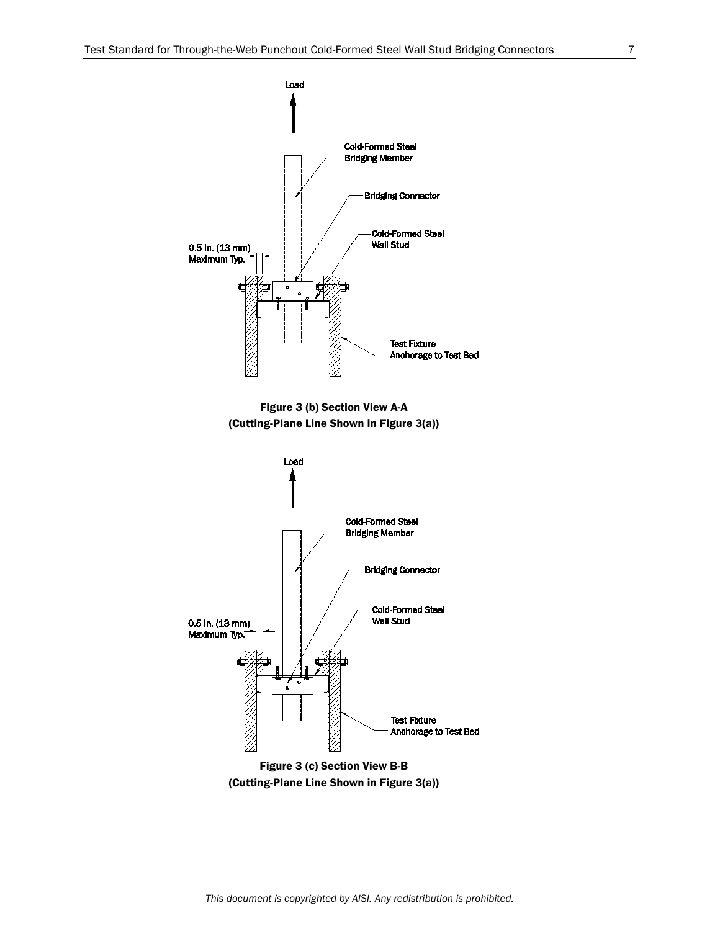

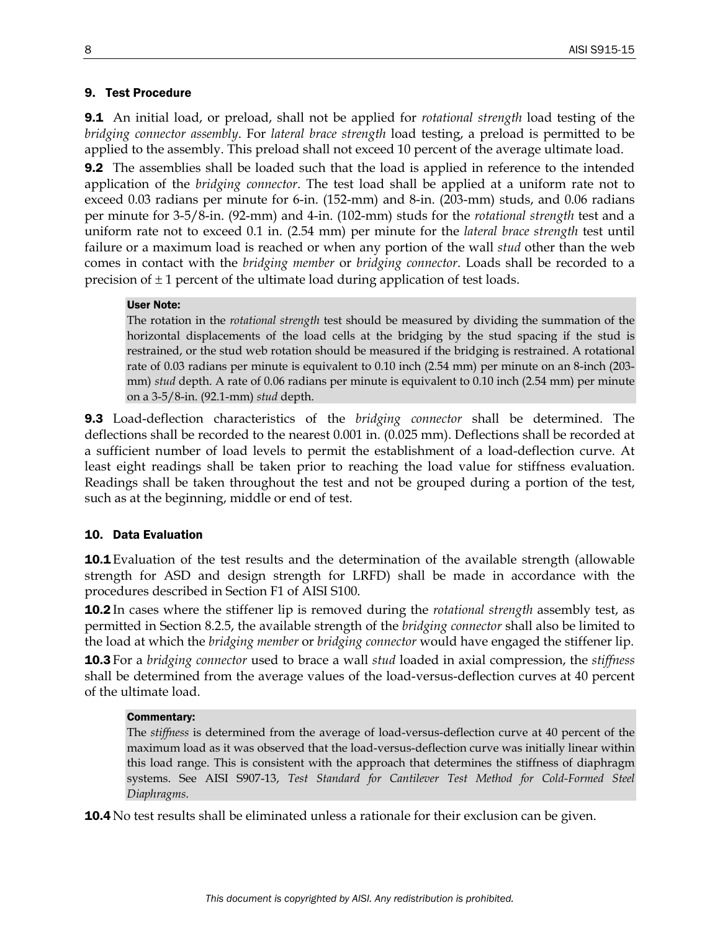# 9. Test Procedure

9.1 An initial load, or preload, shall not be applied for *rotational strength* load testing of the *bridging connector assembly*. For *lateral brace strength* load testing, a preload is permitted to be applied to the assembly. This preload shall not exceed 10 percent of the average ultimate load.

**9.2** The assemblies shall be loaded such that the load is applied in reference to the intended application of the *bridging connector*. The test load shall be applied at a uniform rate not to exceed 0.03 radians per minute for 6-in. (152-mm) and 8-in. (203-mm) studs, and 0.06 radians per minute for 3-5/8-in. (92-mm) and 4-in. (102-mm) studs for the *rotational strength* test and a uniform rate not to exceed 0.1 in. (2.54 mm) per minute for the *lateral brace strength* test until failure or a maximum load is reached or when any portion of the wall *stud* other than the web comes in contact with the *bridging member* or *bridging connector*. Loads shall be recorded to a precision of  $\pm 1$  percent of the ultimate load during application of test loads.

#### User Note:

The rotation in the *rotational strength* test should be measured by dividing the summation of the horizontal displacements of the load cells at the bridging by the stud spacing if the stud is restrained, or the stud web rotation should be measured if the bridging is restrained. A rotational rate of 0.03 radians per minute is equivalent to 0.10 inch (2.54 mm) per minute on an 8-inch (203 mm) *stud* depth. A rate of 0.06 radians per minute is equivalent to 0.10 inch (2.54 mm) per minute on a 3-5/8-in. (92.1-mm) *stud* depth.

9.3 Load-deflection characteristics of the *bridging connector* shall be determined. The deflections shall be recorded to the nearest 0.001 in. (0.025 mm). Deflections shall be recorded at a sufficient number of load levels to permit the establishment of a load-deflection curve. At least eight readings shall be taken prior to reaching the load value for stiffness evaluation. Readings shall be taken throughout the test and not be grouped during a portion of the test, such as at the beginning, middle or end of test.

# 10. Data Evaluation

10.1 Evaluation of the test results and the determination of the available strength (allowable strength for ASD and design strength for LRFD) shall be made in accordance with the procedures described in Section F1 of AISI S100.

10.2 In cases where the stiffener lip is removed during the *rotational strength* assembly test, as permitted in Section 8.2.5, the available strength of the *bridging connector* shall also be limited to the load at which the *bridging member* or *bridging connector* would have engaged the stiffener lip.

10.3 For a *bridging connector* used to brace a wall *stud* loaded in axial compression, the *stiffness* shall be determined from the average values of the load-versus-deflection curves at 40 percent of the ultimate load.

#### Commentary:

The *stiffness* is determined from the average of load-versus-deflection curve at 40 percent of the maximum load as it was observed that the load-versus-deflection curve was initially linear within this load range. This is consistent with the approach that determines the stiffness of diaphragm systems. See AISI S907-13, *Test Standard for Cantilever Test Method for Cold-Formed Steel Diaphragms*.

**10.4** No test results shall be eliminated unless a rationale for their exclusion can be given.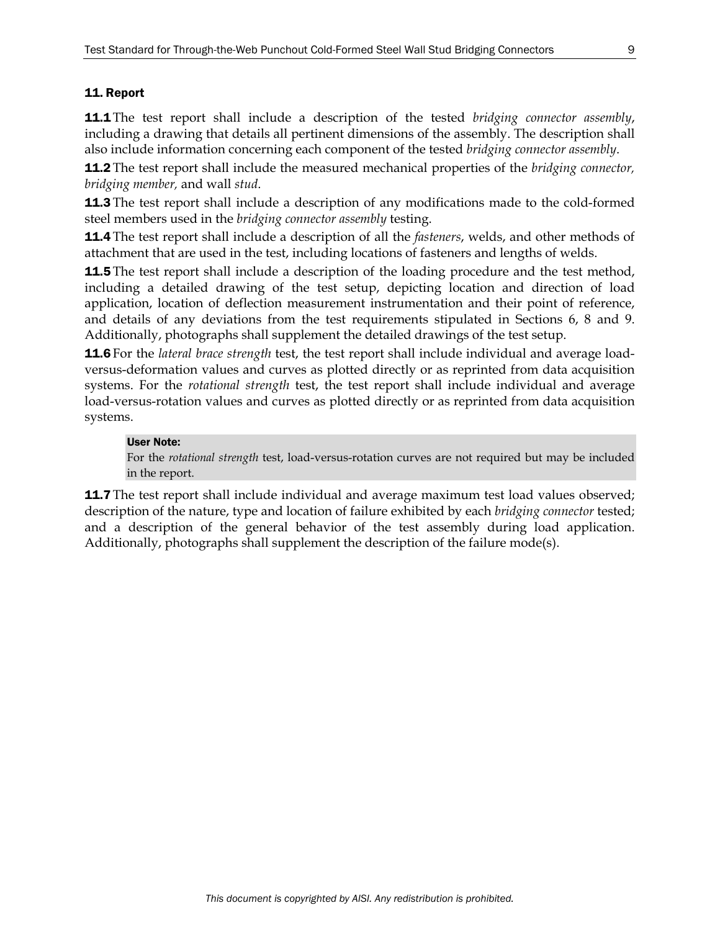# 11. Report

11.1The test report shall include a description of the tested *bridging connector assembly*, including a drawing that details all pertinent dimensions of the assembly. The description shall also include information concerning each component of the tested *bridging connector assembly*.

11.2The test report shall include the measured mechanical properties of the *bridging connector, bridging member,* and wall *stud*.

**11.3** The test report shall include a description of any modifications made to the cold-formed steel members used in the *bridging connector assembly* testing.

11.4The test report shall include a description of all the *fasteners*, welds, and other methods of attachment that are used in the test, including locations of fasteners and lengths of welds.

**11.5** The test report shall include a description of the loading procedure and the test method, including a detailed drawing of the test setup, depicting location and direction of load application, location of deflection measurement instrumentation and their point of reference, and details of any deviations from the test requirements stipulated in Sections 6, 8 and 9. Additionally, photographs shall supplement the detailed drawings of the test setup.

11.6 For the *lateral brace strength* test, the test report shall include individual and average loadversus-deformation values and curves as plotted directly or as reprinted from data acquisition systems. For the *rotational strength* test, the test report shall include individual and average load-versus-rotation values and curves as plotted directly or as reprinted from data acquisition systems.

#### User Note:

For the *rotational strength* test, load-versus-rotation curves are not required but may be included in the report.

**11.7** The test report shall include individual and average maximum test load values observed; description of the nature, type and location of failure exhibited by each *bridging connector* tested; and a description of the general behavior of the test assembly during load application. Additionally, photographs shall supplement the description of the failure mode(s).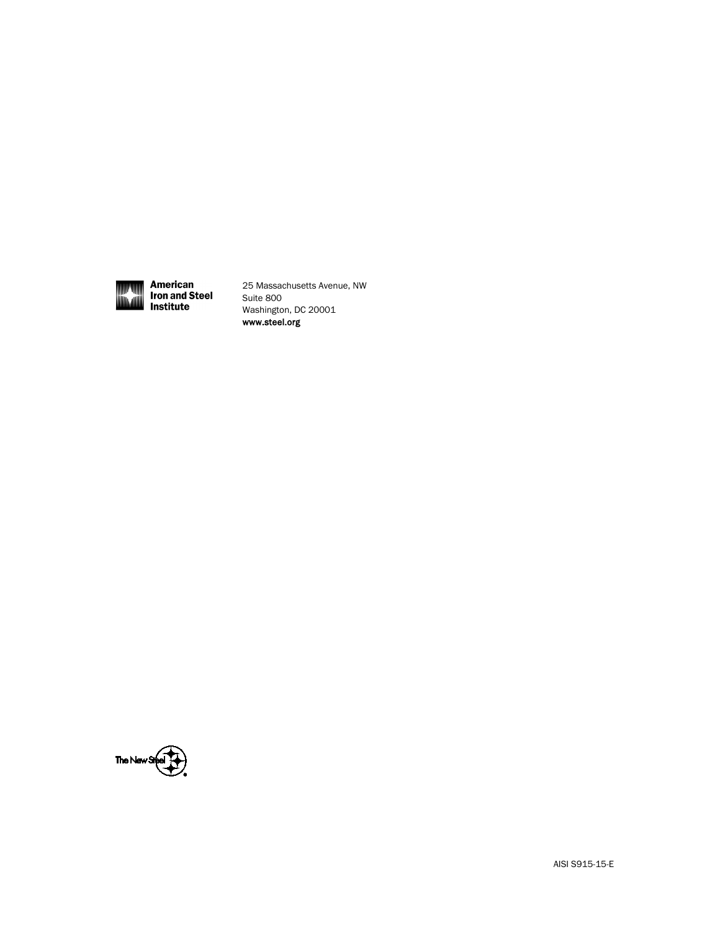

American<br>Iron and Steel<br>Institute

25 Massachusetts Avenue, NW Suite 800 Washington, DC 20001 www.steel.org